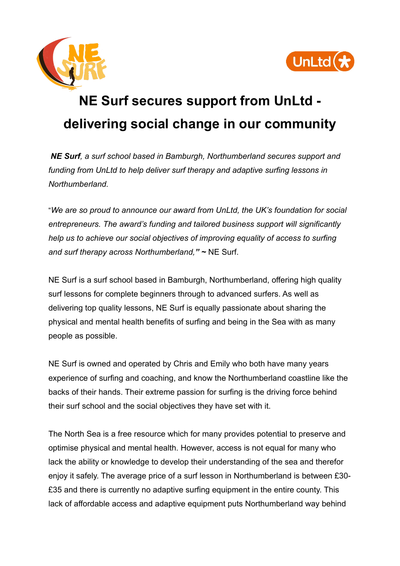



## **NE Surf secures support from UnLtd delivering social change in our community**

*NE Surf, a surf school based in Bamburgh, Northumberland secures support and funding from UnLtd to help deliver surf therapy and adaptive surfing lessons in Northumberland.*

"*We are so proud to announce our award from UnLtd, the UK's foundation for social entrepreneurs. The award's funding and tailored business support will significantly help us to achieve our social objectives of improving equality of access to surfing and surf therapy across Northumberland," ~* NE Surf.

NE Surf is a surf school based in Bamburgh, Northumberland, offering high quality surf lessons for complete beginners through to advanced surfers. As well as delivering top quality lessons, NE Surf is equally passionate about sharing the physical and mental health benefits of surfing and being in the Sea with as many people as possible.

NE Surf is owned and operated by Chris and Emily who both have many years experience of surfing and coaching, and know the Northumberland coastline like the backs of their hands. Their extreme passion for surfing is the driving force behind their surf school and the social objectives they have set with it.

The North Sea is a free resource which for many provides potential to preserve and optimise physical and mental health. However, access is not equal for many who lack the ability or knowledge to develop their understanding of the sea and therefor enjoy it safely. The average price of a surf lesson in Northumberland is between £30- £35 and there is currently no adaptive surfing equipment in the entire county. This lack of affordable access and adaptive equipment puts Northumberland way behind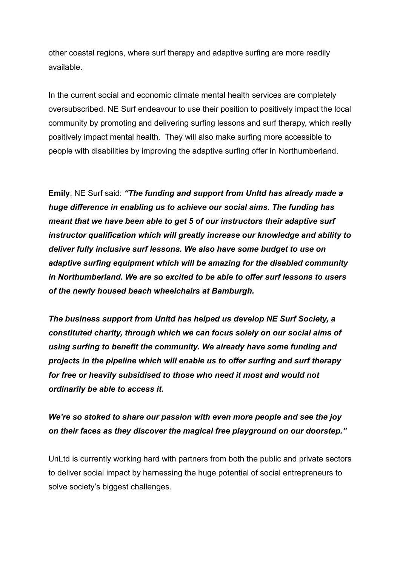other coastal regions, where surf therapy and adaptive surfing are more readily available.

In the current social and economic climate mental health services are completely oversubscribed. NE Surf endeavour to use their position to positively impact the local community by promoting and delivering surfing lessons and surf therapy, which really positively impact mental health. They will also make surfing more accessible to people with disabilities by improving the adaptive surfing offer in Northumberland.

**Emily**, NE Surf said: *"The funding and support from Unltd has already made a huge difference in enabling us to achieve our social aims. The funding has meant that we have been able to get 5 of our instructors their adaptive surf instructor qualification which will greatly increase our knowledge and ability to deliver fully inclusive surf lessons. We also have some budget to use on adaptive surfing equipment which will be amazing for the disabled community in Northumberland. We are so excited to be able to offer surf lessons to users of the newly housed beach wheelchairs at Bamburgh.*

*The business support from Unltd has helped us develop NE Surf Society, a constituted charity, through which we can focus solely on our social aims of using surfing to benefit the community. We already have some funding and projects in the pipeline which will enable us to offer surfing and surf therapy for free or heavily subsidised to those who need it most and would not ordinarily be able to access it.*

## *We're so stoked to share our passion with even more people and see the joy on their faces as they discover the magical free playground on our doorstep."*

UnLtd is currently working hard with partners from both the public and private sectors to deliver social impact by harnessing the huge potential of social entrepreneurs to solve society's biggest challenges.